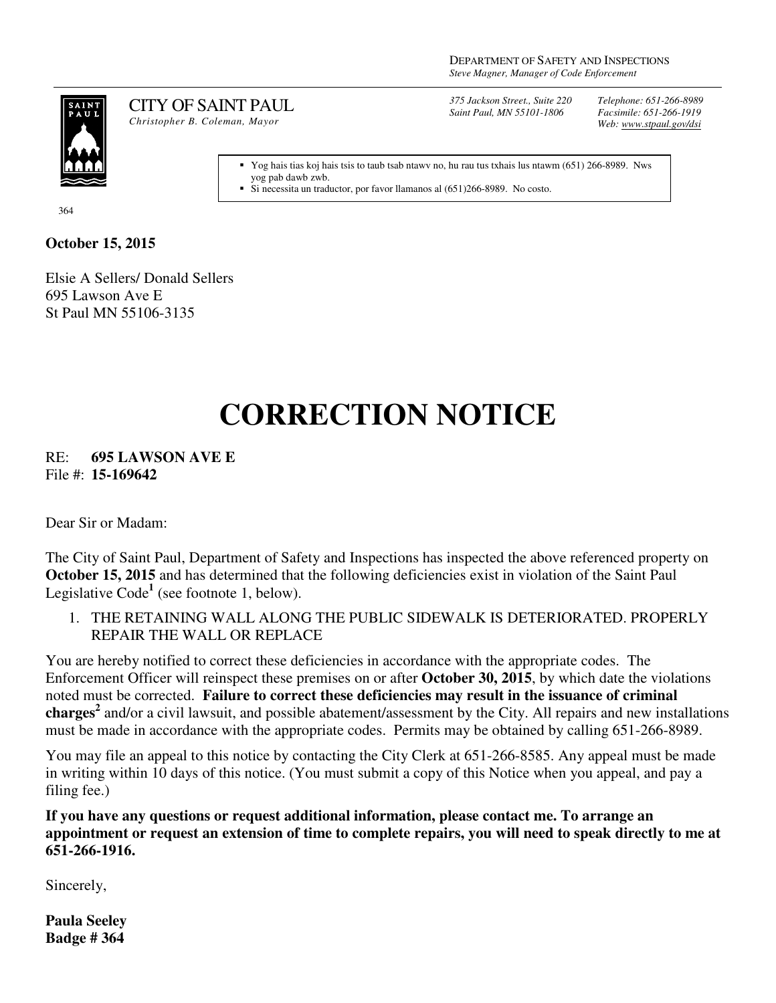

CITY OF SAINT PAUL *Christopher B. Coleman, Mayor* 

*375 Jackson Street., Suite 220 Saint Paul, MN 55101-1806*

*Telephone: 651-266-8989 Facsimile: 651-266-1919 Web: www.stpaul.gov/dsi*

Yog hais tias koj hais tsis to taub tsab ntawv no, hu rau tus txhais lus ntawm (651) 266-8989. Nws yog pab dawb zwb.

Si necessita un traductor, por favor llamanos al (651)266-8989. No costo.

364

## **October 15, 2015**

Elsie A Sellers/ Donald Sellers 695 Lawson Ave E St Paul MN 55106-3135

## **CORRECTION NOTICE**

RE: **695 LAWSON AVE E** File #: **15-169642**

Dear Sir or Madam:

The City of Saint Paul, Department of Safety and Inspections has inspected the above referenced property on **October 15, 2015** and has determined that the following deficiencies exist in violation of the Saint Paul Legislative Code<sup>1</sup> (see footnote 1, below).

1. THE RETAINING WALL ALONG THE PUBLIC SIDEWALK IS DETERIORATED. PROPERLY REPAIR THE WALL OR REPLACE

You are hereby notified to correct these deficiencies in accordance with the appropriate codes. The Enforcement Officer will reinspect these premises on or after **October 30, 2015**, by which date the violations noted must be corrected. **Failure to correct these deficiencies may result in the issuance of criminal charges<sup>2</sup>** and/or a civil lawsuit, and possible abatement/assessment by the City. All repairs and new installations must be made in accordance with the appropriate codes. Permits may be obtained by calling 651-266-8989.

You may file an appeal to this notice by contacting the City Clerk at 651-266-8585. Any appeal must be made in writing within 10 days of this notice. (You must submit a copy of this Notice when you appeal, and pay a filing fee.)

**If you have any questions or request additional information, please contact me. To arrange an appointment or request an extension of time to complete repairs, you will need to speak directly to me at 651-266-1916.**

Sincerely,

**Paula Seeley Badge # 364**